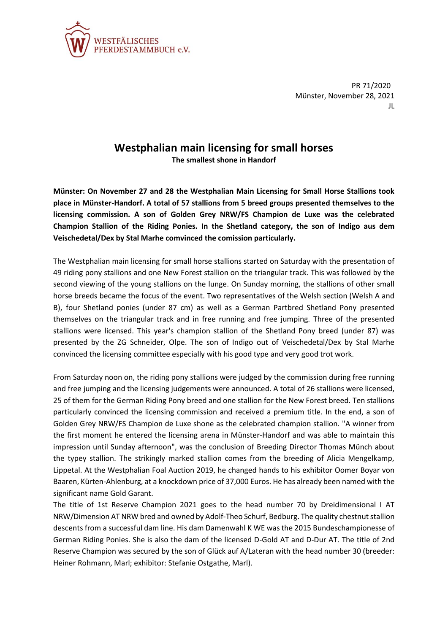

PR 71/2020 Münster, November 28, 2021 JL

## **Westphalian main licensing for small horses**

**The smallest shone in Handorf**

**Münster: On November 27 and 28 the Westphalian Main Licensing for Small Horse Stallions took place in Münster-Handorf. A total of 57 stallions from 5 breed groups presented themselves to the licensing commission. A son of Golden Grey NRW/FS Champion de Luxe was the celebrated Champion Stallion of the Riding Ponies. In the Shetland category, the son of Indigo aus dem Veischedetal/Dex by Stal Marhe comvinced the comission particularly.** 

The Westphalian main licensing for small horse stallions started on Saturday with the presentation of 49 riding pony stallions and one New Forest stallion on the triangular track. This was followed by the second viewing of the young stallions on the lunge. On Sunday morning, the stallions of other small horse breeds became the focus of the event. Two representatives of the Welsh section (Welsh A and B), four Shetland ponies (under 87 cm) as well as a German Partbred Shetland Pony presented themselves on the triangular track and in free running and free jumping. Three of the presented stallions were licensed. This year's champion stallion of the Shetland Pony breed (under 87) was presented by the ZG Schneider, Olpe. The son of Indigo out of Veischedetal/Dex by Stal Marhe convinced the licensing committee especially with his good type and very good trot work.

From Saturday noon on, the riding pony stallions were judged by the commission during free running and free jumping and the licensing judgements were announced. A total of 26 stallions were licensed, 25 of them for the German Riding Pony breed and one stallion for the New Forest breed. Ten stallions particularly convinced the licensing commission and received a premium title. In the end, a son of Golden Grey NRW/FS Champion de Luxe shone as the celebrated champion stallion. "A winner from the first moment he entered the licensing arena in Münster-Handorf and was able to maintain this impression until Sunday afternoon", was the conclusion of Breeding Director Thomas Münch about the typey stallion. The strikingly marked stallion comes from the breeding of Alicia Mengelkamp, Lippetal. At the Westphalian Foal Auction 2019, he changed hands to his exhibitor Oomer Boyar von Baaren, Kürten-Ahlenburg, at a knockdown price of 37,000 Euros. He has already been named with the significant name Gold Garant.

The title of 1st Reserve Champion 2021 goes to the head number 70 by Dreidimensional I AT NRW/Dimension AT NRW bred and owned by Adolf-Theo Schurf, Bedburg. The quality chestnut stallion descents from a successful dam line. His dam Damenwahl K WE was the 2015 Bundeschampionesse of German Riding Ponies. She is also the dam of the licensed D-Gold AT and D-Dur AT. The title of 2nd Reserve Champion was secured by the son of Glück auf A/Lateran with the head number 30 (breeder: Heiner Rohmann, Marl; exhibitor: Stefanie Ostgathe, Marl).